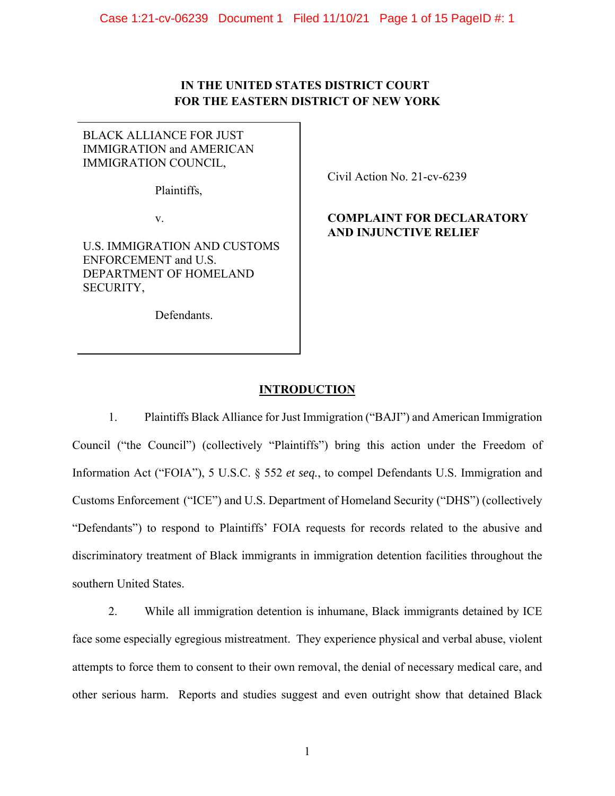# **IN THE UNITED STATES DISTRICT COURT FOR THE EASTERN DISTRICT OF NEW YORK**

# BLACK ALLIANCE FOR JUST IMMIGRATION and AMERICAN IMMIGRATION COUNCIL,

Plaintiffs,

v.

U.S. IMMIGRATION AND CUSTOMS ENFORCEMENT and U.S. DEPARTMENT OF HOMELAND SECURITY,

Defendants.

Civil Action No. 21-cv-6239

# **COMPLAINT FOR DECLARATORY AND INJUNCTIVE RELIEF**

# **INTRODUCTION**

1. Plaintiffs Black Alliance for Just Immigration ("BAJI") and American Immigration Council ("the Council") (collectively "Plaintiffs") bring this action under the Freedom of Information Act ("FOIA"), 5 U.S.C. § 552 *et seq.*, to compel Defendants U.S. Immigration and Customs Enforcement ("ICE") and U.S. Department of Homeland Security ("DHS") (collectively "Defendants") to respond to Plaintiffs' FOIA requests for records related to the abusive and discriminatory treatment of Black immigrants in immigration detention facilities throughout the southern United States.

2. While all immigration detention is inhumane, Black immigrants detained by ICE face some especially egregious mistreatment. They experience physical and verbal abuse, violent attempts to force them to consent to their own removal, the denial of necessary medical care, and other serious harm. Reports and studies suggest and even outright show that detained Black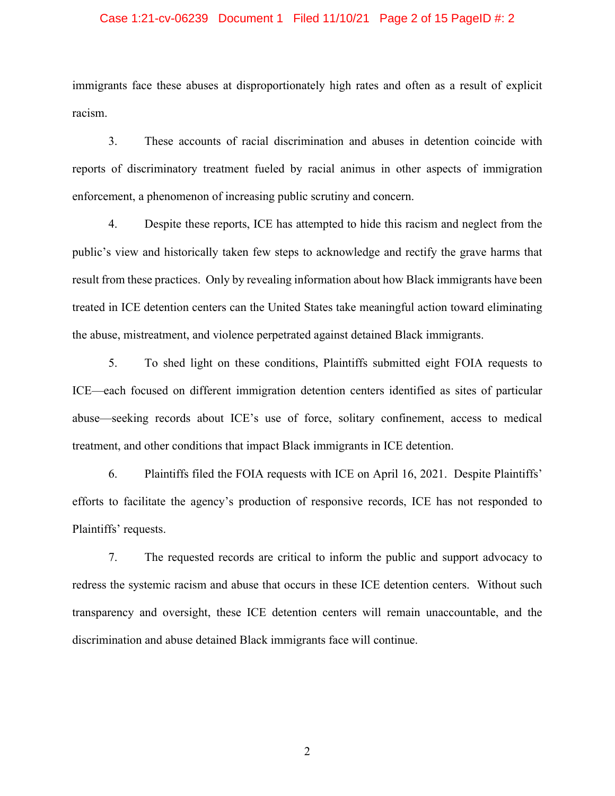#### Case 1:21-cv-06239 Document 1 Filed 11/10/21 Page 2 of 15 PageID #: 2

immigrants face these abuses at disproportionately high rates and often as a result of explicit racism.

3. These accounts of racial discrimination and abuses in detention coincide with reports of discriminatory treatment fueled by racial animus in other aspects of immigration enforcement, a phenomenon of increasing public scrutiny and concern.

4. Despite these reports, ICE has attempted to hide this racism and neglect from the public's view and historically taken few steps to acknowledge and rectify the grave harms that result from these practices. Only by revealing information about how Black immigrants have been treated in ICE detention centers can the United States take meaningful action toward eliminating the abuse, mistreatment, and violence perpetrated against detained Black immigrants.

5. To shed light on these conditions, Plaintiffs submitted eight FOIA requests to ICE—each focused on different immigration detention centers identified as sites of particular abuse—seeking records about ICE's use of force, solitary confinement, access to medical treatment, and other conditions that impact Black immigrants in ICE detention.

6. Plaintiffs filed the FOIA requests with ICE on April 16, 2021. Despite Plaintiffs' efforts to facilitate the agency's production of responsive records, ICE has not responded to Plaintiffs' requests.

7. The requested records are critical to inform the public and support advocacy to redress the systemic racism and abuse that occurs in these ICE detention centers. Without such transparency and oversight, these ICE detention centers will remain unaccountable, and the discrimination and abuse detained Black immigrants face will continue.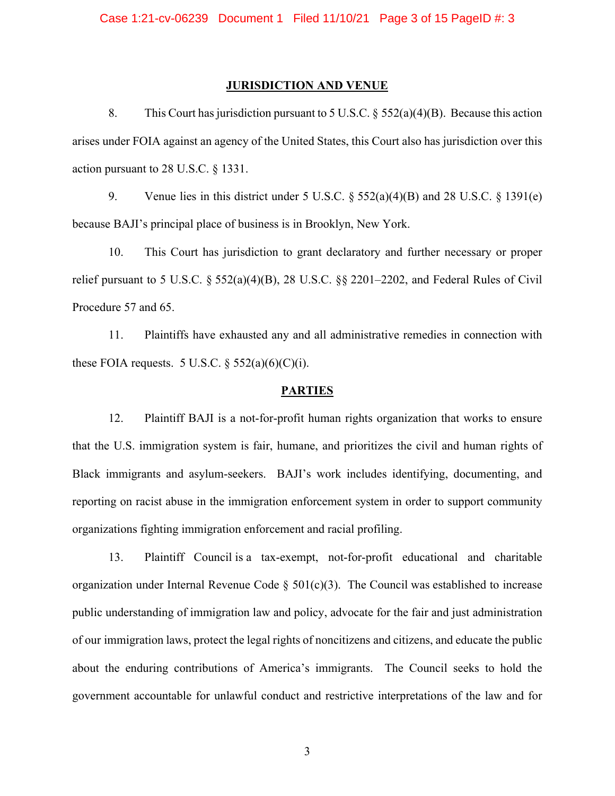#### **JURISDICTION AND VENUE**

8. This Court has jurisdiction pursuant to 5 U.S.C.  $\S$  552(a)(4)(B). Because this action arises under FOIA against an agency of the United States, this Court also has jurisdiction over this action pursuant to 28 U.S.C. § 1331.

9. Venue lies in this district under 5 U.S.C. § 552(a)(4)(B) and 28 U.S.C. § 1391(e) because BAJI's principal place of business is in Brooklyn, New York.

10. This Court has jurisdiction to grant declaratory and further necessary or proper relief pursuant to 5 U.S.C. § 552(a)(4)(B), 28 U.S.C. §§ 2201–2202, and Federal Rules of Civil Procedure 57 and 65.

11. Plaintiffs have exhausted any and all administrative remedies in connection with these FOIA requests. 5 U.S.C.  $\S$  552(a)(6)(C)(i).

#### **PARTIES**

12. Plaintiff BAJI is a not-for-profit human rights organization that works to ensure that the U.S. immigration system is fair, humane, and prioritizes the civil and human rights of Black immigrants and asylum-seekers. BAJI's work includes identifying, documenting, and reporting on racist abuse in the immigration enforcement system in order to support community organizations fighting immigration enforcement and racial profiling.

13. Plaintiff Council is a tax-exempt, not-for-profit educational and charitable organization under Internal Revenue Code  $\S$  501(c)(3). The Council was established to increase public understanding of immigration law and policy, advocate for the fair and just administration of our immigration laws, protect the legal rights of noncitizens and citizens, and educate the public about the enduring contributions of America's immigrants. The Council seeks to hold the government accountable for unlawful conduct and restrictive interpretations of the law and for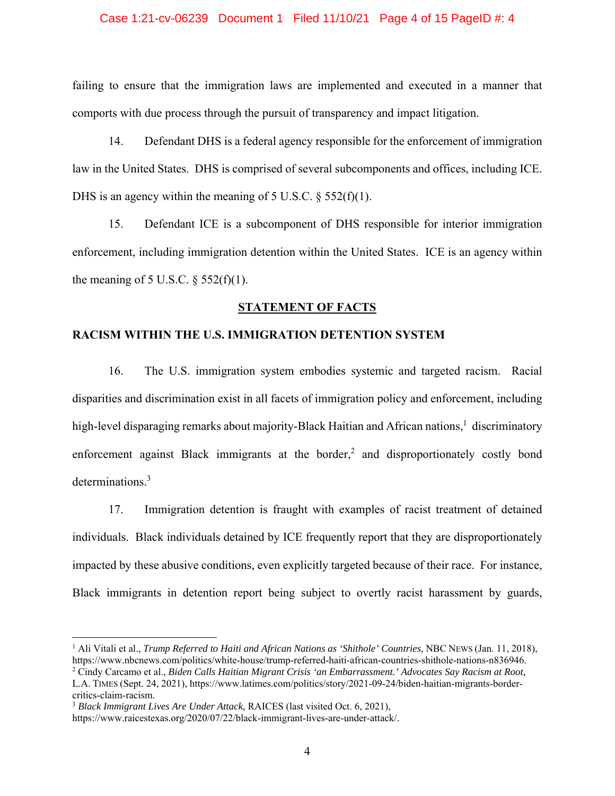#### Case 1:21-cv-06239 Document 1 Filed 11/10/21 Page 4 of 15 PageID #: 4

failing to ensure that the immigration laws are implemented and executed in a manner that comports with due process through the pursuit of transparency and impact litigation.

14. Defendant DHS is a federal agency responsible for the enforcement of immigration law in the United States. DHS is comprised of several subcomponents and offices, including ICE. DHS is an agency within the meaning of 5 U.S.C.  $\S$  552(f)(1).

15. Defendant ICE is a subcomponent of DHS responsible for interior immigration enforcement, including immigration detention within the United States. ICE is an agency within the meaning of 5 U.S.C.  $\S$  552(f)(1).

### **STATEMENT OF FACTS**

## **RACISM WITHIN THE U.S. IMMIGRATION DETENTION SYSTEM**

16. The U.S. immigration system embodies systemic and targeted racism. Racial disparities and discrimination exist in all facets of immigration policy and enforcement, including high-level disparaging remarks about majority-Black Haitian and African nations, $^1$  discriminatory enforcement against Black immigrants at the border,<sup>2</sup> and disproportionately costly bond determinations.<sup>3</sup>

17. Immigration detention is fraught with examples of racist treatment of detained individuals. Black individuals detained by ICE frequently report that they are disproportionately impacted by these abusive conditions, even explicitly targeted because of their race. For instance, Black immigrants in detention report being subject to overtly racist harassment by guards,

<sup>&</sup>lt;sup>1</sup> Ali Vitali et al., *Trump Referred to Haiti and African Nations as 'Shithole' Countries, NBC NEWS (Jan. 11, 2018),* https://www.nbcnews.com/politics/white-house/trump-referred-haiti-african-countries-shithole-nations-n836946. 2

Cindy Carcamo et al., *Biden Calls Haitian Migrant Crisis 'an Embarrassment.' Advocates Say Racism at Root,*  L.A. TIMES (Sept. 24, 2021), https://www.latimes.com/politics/story/2021-09-24/biden-haitian-migrants-bordercritics-claim-racism.

<sup>3</sup> *Black Immigrant Lives Are Under Attack,* RAICES (last visited Oct. 6, 2021),

https://www.raicestexas.org/2020/07/22/black-immigrant-lives-are-under-attack/.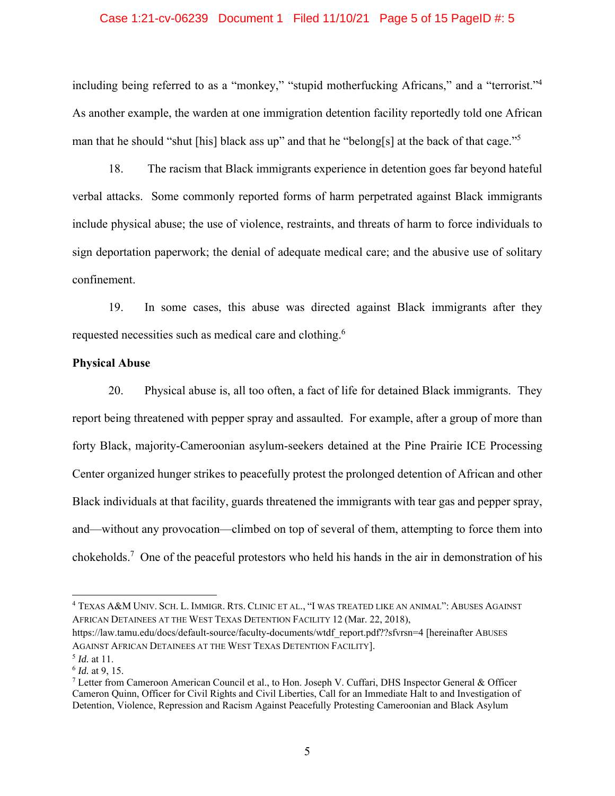#### Case 1:21-cv-06239 Document 1 Filed 11/10/21 Page 5 of 15 PageID #: 5

including being referred to as a "monkey," "stupid motherfucking Africans," and a "terrorist."<sup>4</sup> As another example, the warden at one immigration detention facility reportedly told one African man that he should "shut [his] black ass up" and that he "belong[s] at the back of that cage."<sup>5</sup>

18. The racism that Black immigrants experience in detention goes far beyond hateful verbal attacks. Some commonly reported forms of harm perpetrated against Black immigrants include physical abuse; the use of violence, restraints, and threats of harm to force individuals to sign deportation paperwork; the denial of adequate medical care; and the abusive use of solitary confinement.

19. In some cases, this abuse was directed against Black immigrants after they requested necessities such as medical care and clothing.<sup>6</sup>

## **Physical Abuse**

20. Physical abuse is, all too often, a fact of life for detained Black immigrants. They report being threatened with pepper spray and assaulted. For example, after a group of more than forty Black, majority-Cameroonian asylum-seekers detained at the Pine Prairie ICE Processing Center organized hunger strikes to peacefully protest the prolonged detention of African and other Black individuals at that facility, guards threatened the immigrants with tear gas and pepper spray, and—without any provocation—climbed on top of several of them, attempting to force them into chokeholds.<sup>7</sup> One of the peaceful protestors who held his hands in the air in demonstration of his

<sup>4</sup> TEXAS A&M UNIV. SCH. L. IMMIGR. RTS. CLINIC ET AL., "I WAS TREATED LIKE AN ANIMAL": ABUSES AGAINST AFRICAN DETAINEES AT THE WEST TEXAS DETENTION FACILITY 12 (Mar. 22, 2018),

https://law.tamu.edu/docs/default-source/faculty-documents/wtdf\_report.pdf??sfvrsn=4 [hereinafter ABUSES AGAINST AFRICAN DETAINEES AT THE WEST TEXAS DETENTION FACILITY].<br><sup>5</sup> *Id.* at 11.

<sup>&</sup>lt;sup>6</sup> *Id.* at 9, 15.

Letter from Cameroon American Council et al., to Hon. Joseph V. Cuffari, DHS Inspector General & Officer Cameron Quinn, Officer for Civil Rights and Civil Liberties, Call for an Immediate Halt to and Investigation of Detention, Violence, Repression and Racism Against Peacefully Protesting Cameroonian and Black Asylum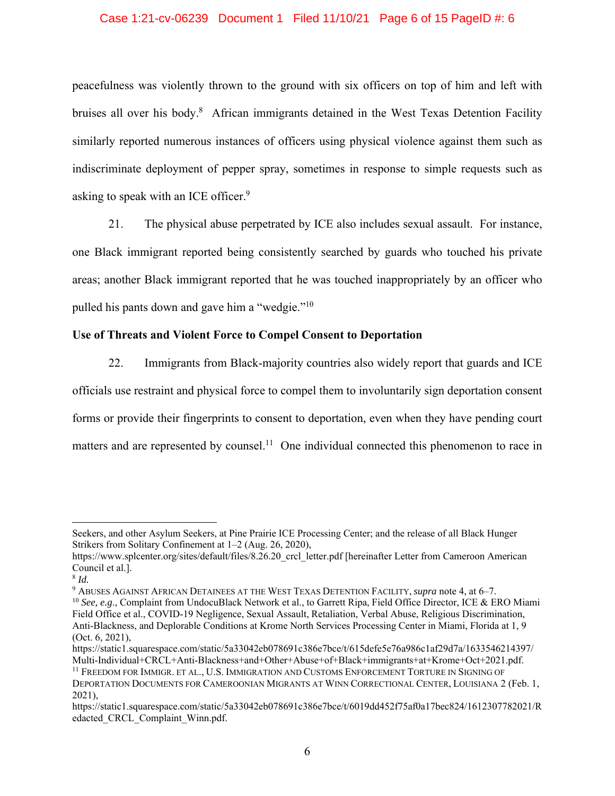### Case 1:21-cv-06239 Document 1 Filed 11/10/21 Page 6 of 15 PageID #: 6

peacefulness was violently thrown to the ground with six officers on top of him and left with bruises all over his body.<sup>8</sup> African immigrants detained in the West Texas Detention Facility similarly reported numerous instances of officers using physical violence against them such as indiscriminate deployment of pepper spray, sometimes in response to simple requests such as asking to speak with an ICE officer. $9$ 

21. The physical abuse perpetrated by ICE also includes sexual assault. For instance, one Black immigrant reported being consistently searched by guards who touched his private areas; another Black immigrant reported that he was touched inappropriately by an officer who pulled his pants down and gave him a "wedgie."10

## **Use of Threats and Violent Force to Compel Consent to Deportation**

22. Immigrants from Black-majority countries also widely report that guards and ICE officials use restraint and physical force to compel them to involuntarily sign deportation consent forms or provide their fingerprints to consent to deportation, even when they have pending court matters and are represented by counsel.<sup>11</sup> One individual connected this phenomenon to race in

Seekers, and other Asylum Seekers, at Pine Prairie ICE Processing Center; and the release of all Black Hunger Strikers from Solitary Confinement at 1–2 (Aug. 26, 2020),

https://www.splcenter.org/sites/default/files/8.26.20\_crcl\_letter.pdf [hereinafter Letter from Cameroon American Council et al.].

<sup>8</sup> *Id.* 

<sup>9</sup> ABUSES AGAINST AFRICAN DETAINEES AT THE WEST TEXAS DETENTION FACILITY, *supra* note 4, at 6–7.

<sup>&</sup>lt;sup>10</sup> See, e.g., Complaint from UndocuBlack Network et al., to Garrett Ripa, Field Office Director, ICE & ERO Miami Field Office et al., COVID-19 Negligence, Sexual Assault, Retaliation, Verbal Abuse, Religious Discrimination, Anti-Blackness, and Deplorable Conditions at Krome North Services Processing Center in Miami, Florida at 1, 9 (Oct. 6, 2021),

https://static1.squarespace.com/static/5a33042eb078691c386e7bce/t/615defe5e76a986c1af29d7a/1633546214397/ Multi-Individual+CRCL+Anti-Blackness+and+Other+Abuse+of+Black+immigrants+at+Krome+Oct+2021.pdf. 11 FREEDOM FOR IMMIGR. ET AL., U.S. IMMIGRATION AND CUSTOMS ENFORCEMENT TORTURE IN SIGNING OF

DEPORTATION DOCUMENTS FOR CAMEROONIAN MIGRANTS AT WINN CORRECTIONAL CENTER, LOUISIANA 2 (Feb. 1, 2021),

https://static1.squarespace.com/static/5a33042eb078691c386e7bce/t/6019dd452f75af0a17bec824/1612307782021/R edacted\_CRCL\_Complaint\_Winn.pdf.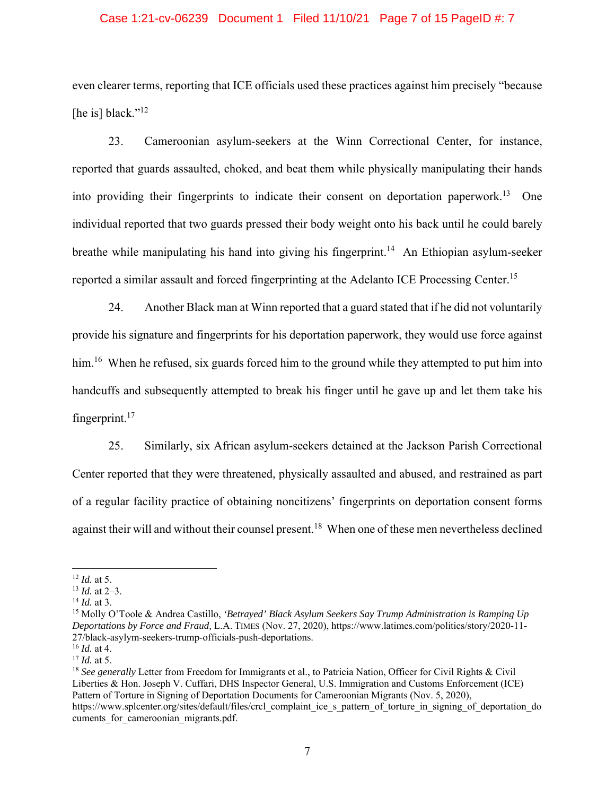# Case 1:21-cv-06239 Document 1 Filed 11/10/21 Page 7 of 15 PageID #: 7

even clearer terms, reporting that ICE officials used these practices against him precisely "because [he is] black." $^{12}$ 

23. Cameroonian asylum-seekers at the Winn Correctional Center, for instance, reported that guards assaulted, choked, and beat them while physically manipulating their hands into providing their fingerprints to indicate their consent on deportation paperwork.13 One individual reported that two guards pressed their body weight onto his back until he could barely breathe while manipulating his hand into giving his fingerprint.<sup>14</sup> An Ethiopian asylum-seeker reported a similar assault and forced fingerprinting at the Adelanto ICE Processing Center.<sup>15</sup>

24. Another Black man at Winn reported that a guard stated that if he did not voluntarily provide his signature and fingerprints for his deportation paperwork, they would use force against him.<sup>16</sup> When he refused, six guards forced him to the ground while they attempted to put him into handcuffs and subsequently attempted to break his finger until he gave up and let them take his fingerprint.17

25. Similarly, six African asylum-seekers detained at the Jackson Parish Correctional Center reported that they were threatened, physically assaulted and abused, and restrained as part of a regular facility practice of obtaining noncitizens' fingerprints on deportation consent forms against their will and without their counsel present.<sup>18</sup> When one of these men nevertheless declined

<sup>18</sup> See generally Letter from Freedom for Immigrants et al., to Patricia Nation, Officer for Civil Rights & Civil Liberties & Hon. Joseph V. Cuffari, DHS Inspector General, U.S. Immigration and Customs Enforcement (ICE) Pattern of Torture in Signing of Deportation Documents for Cameroonian Migrants (Nov. 5, 2020), https://www.splcenter.org/sites/default/files/crcl\_complaint\_ice\_s\_pattern\_of\_torture\_in\_signing\_of\_deportation\_do cuments for cameroonian migrants.pdf.

<sup>12</sup> *Id.* at 5.

<sup>13</sup> *Id.* at 2–3.

<sup>14</sup> *Id.* at 3.

<sup>15</sup> Molly O'Toole & Andrea Castillo, *'Betrayed' Black Asylum Seekers Say Trump Administration is Ramping Up Deportations by Force and Fraud,* L.A. TIMES (Nov. 27, 2020), https://www.latimes.com/politics/story/2020-11- 27/black-asylym-seekers-trump-officials-push-deportations.

<sup>16</sup> *Id.* at 4.

<sup>17</sup> *Id.* at 5.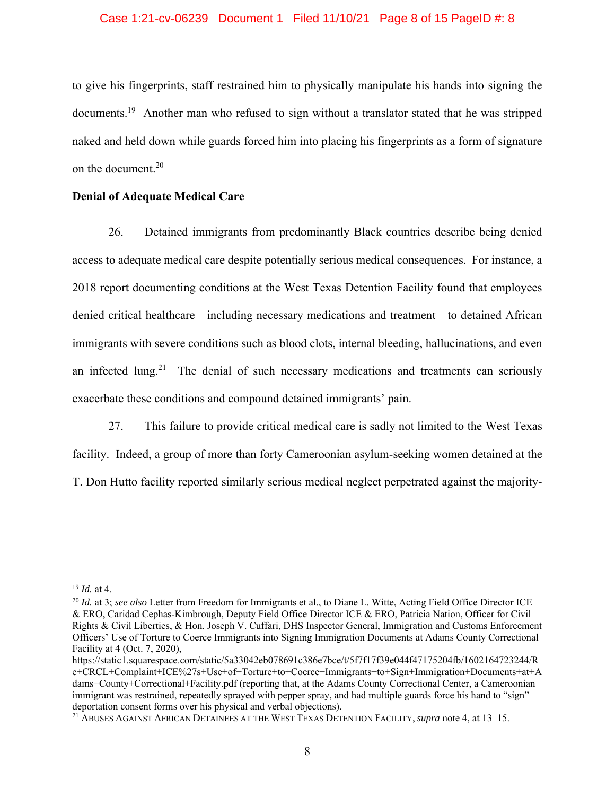#### Case 1:21-cv-06239 Document 1 Filed 11/10/21 Page 8 of 15 PageID #: 8

to give his fingerprints, staff restrained him to physically manipulate his hands into signing the documents.<sup>19</sup> Another man who refused to sign without a translator stated that he was stripped naked and held down while guards forced him into placing his fingerprints as a form of signature on the document.<sup>20</sup>

## **Denial of Adequate Medical Care**

26. Detained immigrants from predominantly Black countries describe being denied access to adequate medical care despite potentially serious medical consequences. For instance, a 2018 report documenting conditions at the West Texas Detention Facility found that employees denied critical healthcare—including necessary medications and treatment—to detained African immigrants with severe conditions such as blood clots, internal bleeding, hallucinations, and even an infected  $\text{lung.}^{21}$  The denial of such necessary medications and treatments can seriously exacerbate these conditions and compound detained immigrants' pain.

27. This failure to provide critical medical care is sadly not limited to the West Texas facility. Indeed, a group of more than forty Cameroonian asylum-seeking women detained at the T. Don Hutto facility reported similarly serious medical neglect perpetrated against the majority-

<sup>19</sup> *Id.* at 4.

<sup>20</sup> *Id.* at 3; *see also* Letter from Freedom for Immigrants et al., to Diane L. Witte, Acting Field Office Director ICE & ERO, Caridad Cephas-Kimbrough, Deputy Field Office Director ICE & ERO, Patricia Nation, Officer for Civil Rights & Civil Liberties, & Hon. Joseph V. Cuffari, DHS Inspector General, Immigration and Customs Enforcement Officers' Use of Torture to Coerce Immigrants into Signing Immigration Documents at Adams County Correctional Facility at 4 (Oct. 7, 2020),

https://static1.squarespace.com/static/5a33042eb078691c386e7bce/t/5f7f17f39e044f47175204fb/1602164723244/R e+CRCL+Complaint+ICE%27s+Use+of+Torture+to+Coerce+Immigrants+to+Sign+Immigration+Documents+at+A dams+County+Correctional+Facility.pdf (reporting that, at the Adams County Correctional Center, a Cameroonian immigrant was restrained, repeatedly sprayed with pepper spray, and had multiple guards force his hand to "sign" deportation consent forms over his physical and verbal objections). 21 ABUSES AGAINST AFRICAN DETAINEES AT THE WEST TEXAS DETENTION FACILITY, *supra* note 4, at 13–15.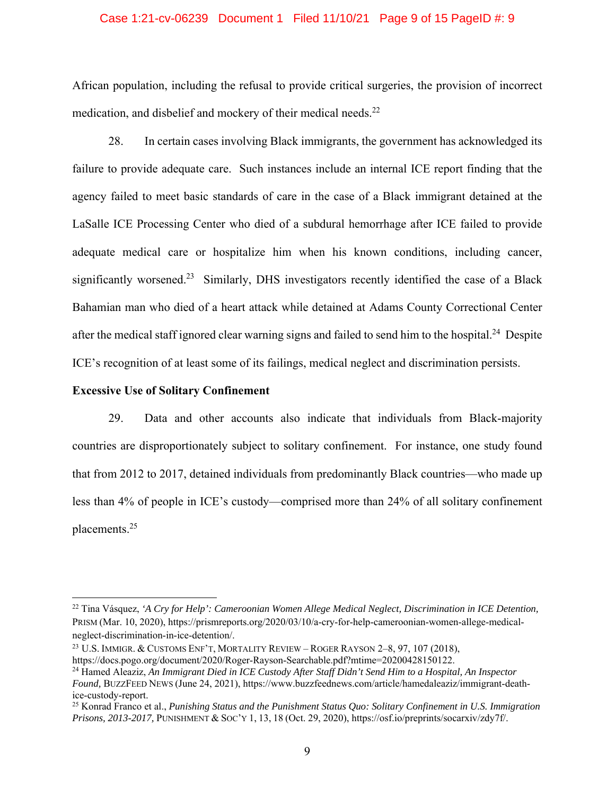### Case 1:21-cv-06239 Document 1 Filed 11/10/21 Page 9 of 15 PageID #: 9

African population, including the refusal to provide critical surgeries, the provision of incorrect medication, and disbelief and mockery of their medical needs.<sup>22</sup>

28. In certain cases involving Black immigrants, the government has acknowledged its failure to provide adequate care. Such instances include an internal ICE report finding that the agency failed to meet basic standards of care in the case of a Black immigrant detained at the LaSalle ICE Processing Center who died of a subdural hemorrhage after ICE failed to provide adequate medical care or hospitalize him when his known conditions, including cancer, significantly worsened.<sup>23</sup> Similarly, DHS investigators recently identified the case of a Black Bahamian man who died of a heart attack while detained at Adams County Correctional Center after the medical staff ignored clear warning signs and failed to send him to the hospital.<sup>24</sup> Despite ICE's recognition of at least some of its failings, medical neglect and discrimination persists.

#### **Excessive Use of Solitary Confinement**

29. Data and other accounts also indicate that individuals from Black-majority countries are disproportionately subject to solitary confinement. For instance, one study found that from 2012 to 2017, detained individuals from predominantly Black countries—who made up less than 4% of people in ICE's custody—comprised more than 24% of all solitary confinement placements.25

<sup>22</sup> Tina Vásquez, *'A Cry for Help': Cameroonian Women Allege Medical Neglect, Discrimination in ICE Detention,*  PRISM (Mar. 10, 2020), https://prismreports.org/2020/03/10/a-cry-for-help-cameroonian-women-allege-medicalneglect-discrimination-in-ice-detention/.

<sup>23</sup> U.S. IMMIGR. & CUSTOMS ENF'T, MORTALITY REVIEW – ROGER RAYSON 2–8, 97, 107 (2018), https://docs.pogo.org/document/2020/Roger-Rayson-Searchable.pdf?mtime=20200428150122.

<sup>24</sup> Hamed Aleaziz, *An Immigrant Died in ICE Custody After Staff Didn't Send Him to a Hospital, An Inspector Found,* BUZZFEED NEWS (June 24, 2021), https://www.buzzfeednews.com/article/hamedaleaziz/immigrant-deathice-custody-report.

<sup>25</sup> Konrad Franco et al., *Punishing Status and the Punishment Status Quo: Solitary Confinement in U.S. Immigration Prisons, 2013-2017,* PUNISHMENT & SOC'Y 1, 13, 18 (Oct. 29, 2020), https://osf.io/preprints/socarxiv/zdy7f/.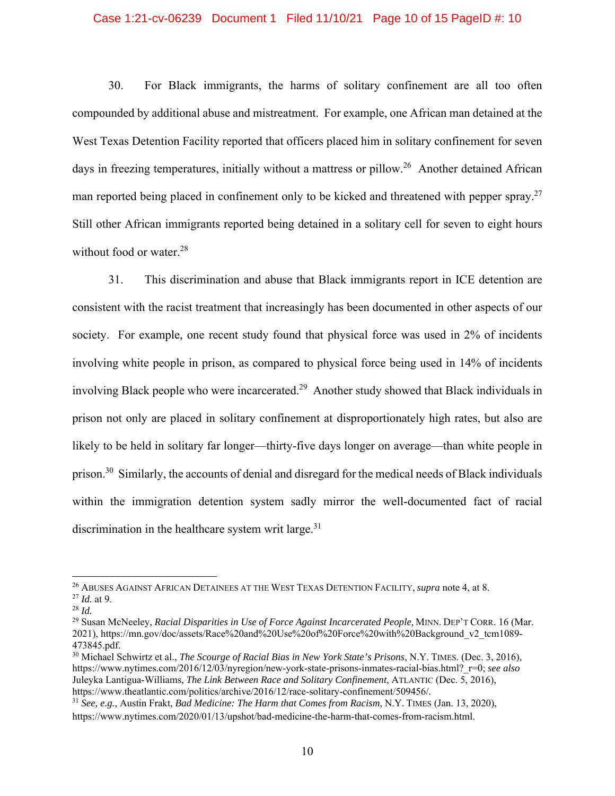# Case 1:21-cv-06239 Document 1 Filed 11/10/21 Page 10 of 15 PageID #: 10

30. For Black immigrants, the harms of solitary confinement are all too often compounded by additional abuse and mistreatment. For example, one African man detained at the West Texas Detention Facility reported that officers placed him in solitary confinement for seven days in freezing temperatures, initially without a mattress or pillow.<sup>26</sup> Another detained African man reported being placed in confinement only to be kicked and threatened with pepper spray.<sup>27</sup> Still other African immigrants reported being detained in a solitary cell for seven to eight hours without food or water.<sup>28</sup>

31. This discrimination and abuse that Black immigrants report in ICE detention are consistent with the racist treatment that increasingly has been documented in other aspects of our society. For example, one recent study found that physical force was used in 2% of incidents involving white people in prison, as compared to physical force being used in 14% of incidents involving Black people who were incarcerated.<sup>29</sup> Another study showed that Black individuals in prison not only are placed in solitary confinement at disproportionately high rates, but also are likely to be held in solitary far longer—thirty-five days longer on average—than white people in prison.<sup>30</sup> Similarly, the accounts of denial and disregard for the medical needs of Black individuals within the immigration detention system sadly mirror the well-documented fact of racial discrimination in the healthcare system writ large.<sup>31</sup>

<sup>26</sup> ABUSES AGAINST AFRICAN DETAINEES AT THE WEST TEXAS DETENTION FACILITY, *supra* note 4, at 8.

<sup>27</sup> *Id.* at 9.

<sup>28</sup> *Id.*

<sup>29</sup> Susan McNeeley, *Racial Disparities in Use of Force Against Incarcerated People,* MINN. DEP'T CORR. 16 (Mar. 2021), https://mn.gov/doc/assets/Race%20and%20Use%20of%20Force%20with%20Background\_v2\_tcm1089- 473845.pdf.

<sup>30</sup> Michael Schwirtz et al., *The Scourge of Racial Bias in New York State's Prisons*, N.Y. TIMES. (Dec. 3, 2016), https://www.nytimes.com/2016/12/03/nyregion/new-york-state-prisons-inmates-racial-bias.html? r=0; *see also* Juleyka Lantigua-Williams, *The Link Between Race and Solitary Confinement*, ATLANTIC (Dec. 5, 2016), https://www.theatlantic.com/politics/archive/2016/12/race-solitary-confinement/509456/.

<sup>31</sup> *See, e.g.,* Austin Frakt, *Bad Medicine: The Harm that Comes from Racism*, N.Y. TIMES (Jan. 13, 2020), https://www.nytimes.com/2020/01/13/upshot/bad-medicine-the-harm-that-comes-from-racism.html.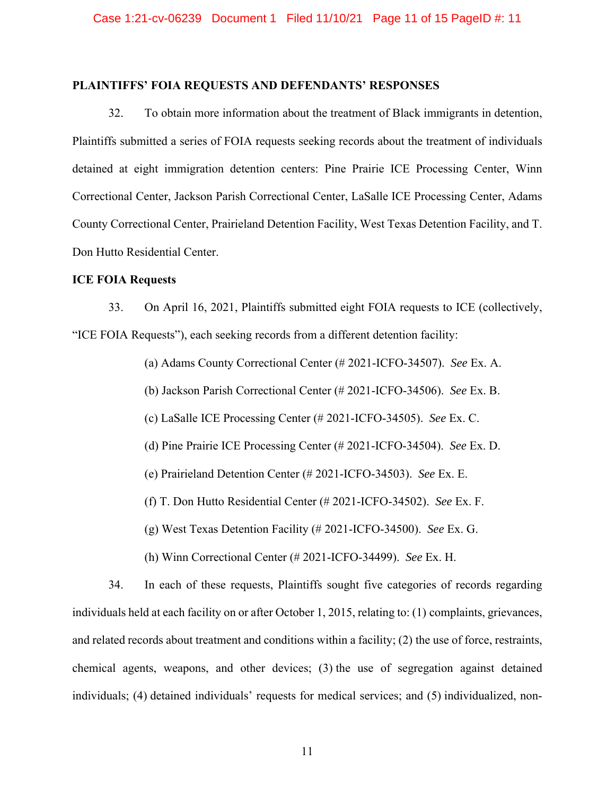# **PLAINTIFFS' FOIA REQUESTS AND DEFENDANTS' RESPONSES**

32. To obtain more information about the treatment of Black immigrants in detention, Plaintiffs submitted a series of FOIA requests seeking records about the treatment of individuals detained at eight immigration detention centers: Pine Prairie ICE Processing Center, Winn Correctional Center, Jackson Parish Correctional Center, LaSalle ICE Processing Center, Adams County Correctional Center, Prairieland Detention Facility, West Texas Detention Facility, and T. Don Hutto Residential Center.

### **ICE FOIA Requests**

33. On April 16, 2021, Plaintiffs submitted eight FOIA requests to ICE (collectively, "ICE FOIA Requests"), each seeking records from a different detention facility:

(a) Adams County Correctional Center (# 2021-ICFO-34507). *See* Ex. A.

(b) Jackson Parish Correctional Center (# 2021-ICFO-34506). *See* Ex. B.

(c) LaSalle ICE Processing Center (# 2021-ICFO-34505). *See* Ex. C.

(d) Pine Prairie ICE Processing Center (# 2021-ICFO-34504). *See* Ex. D.

(e) Prairieland Detention Center (# 2021-ICFO-34503). *See* Ex. E.

(f) T. Don Hutto Residential Center (# 2021-ICFO-34502). *See* Ex. F.

(g) West Texas Detention Facility (# 2021-ICFO-34500). *See* Ex. G.

(h) Winn Correctional Center (# 2021-ICFO-34499). *See* Ex. H.

34. In each of these requests, Plaintiffs sought five categories of records regarding individuals held at each facility on or after October 1, 2015, relating to: (1) complaints, grievances, and related records about treatment and conditions within a facility; (2) the use of force, restraints, chemical agents, weapons, and other devices; (3) the use of segregation against detained individuals; (4) detained individuals' requests for medical services; and (5) individualized, non-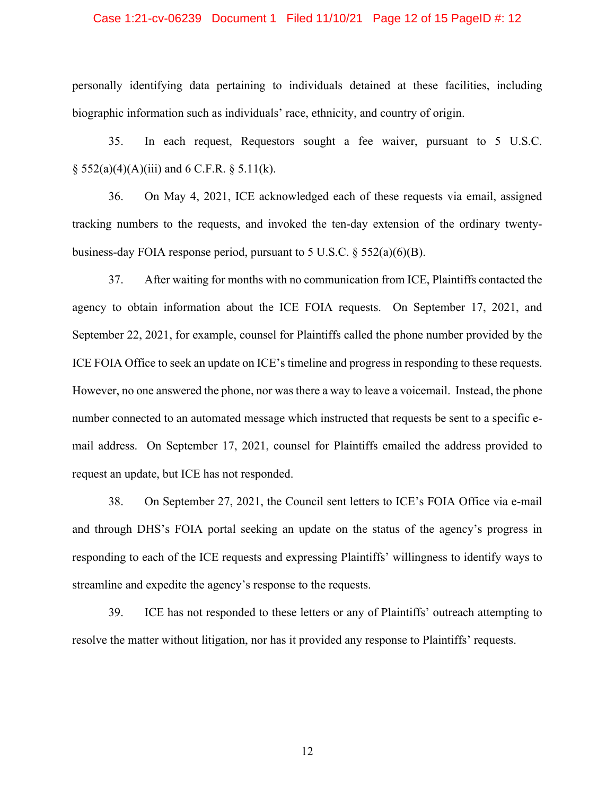#### Case 1:21-cv-06239 Document 1 Filed 11/10/21 Page 12 of 15 PageID #: 12

personally identifying data pertaining to individuals detained at these facilities, including biographic information such as individuals' race, ethnicity, and country of origin.

35. In each request, Requestors sought a fee waiver, pursuant to 5 U.S.C.  $\S$  552(a)(4)(A)(iii) and 6 C.F.R.  $\S$  5.11(k).

36. On May 4, 2021, ICE acknowledged each of these requests via email, assigned tracking numbers to the requests, and invoked the ten-day extension of the ordinary twentybusiness-day FOIA response period, pursuant to 5 U.S.C.  $\S$  552(a)(6)(B).

37. After waiting for months with no communication from ICE, Plaintiffs contacted the agency to obtain information about the ICE FOIA requests. On September 17, 2021, and September 22, 2021, for example, counsel for Plaintiffs called the phone number provided by the ICE FOIA Office to seek an update on ICE's timeline and progress in responding to these requests. However, no one answered the phone, nor was there a way to leave a voicemail. Instead, the phone number connected to an automated message which instructed that requests be sent to a specific email address. On September 17, 2021, counsel for Plaintiffs emailed the address provided to request an update, but ICE has not responded.

38. On September 27, 2021, the Council sent letters to ICE's FOIA Office via e-mail and through DHS's FOIA portal seeking an update on the status of the agency's progress in responding to each of the ICE requests and expressing Plaintiffs' willingness to identify ways to streamline and expedite the agency's response to the requests.

39. ICE has not responded to these letters or any of Plaintiffs' outreach attempting to resolve the matter without litigation, nor has it provided any response to Plaintiffs' requests.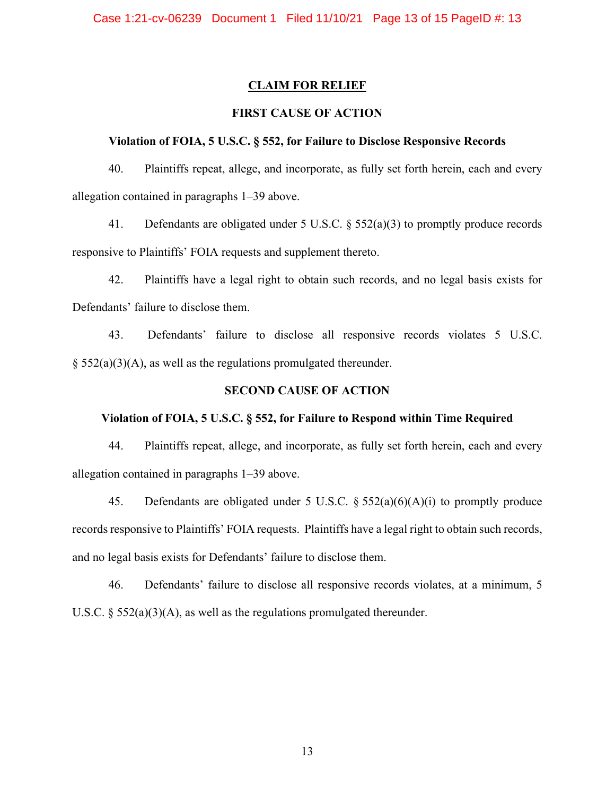# **CLAIM FOR RELIEF**

# **FIRST CAUSE OF ACTION**

### **Violation of FOIA, 5 U.S.C. § 552, for Failure to Disclose Responsive Records**

40. Plaintiffs repeat, allege, and incorporate, as fully set forth herein, each and every allegation contained in paragraphs 1–39 above.

41. Defendants are obligated under 5 U.S.C. § 552(a)(3) to promptly produce records responsive to Plaintiffs' FOIA requests and supplement thereto.

42. Plaintiffs have a legal right to obtain such records, and no legal basis exists for Defendants' failure to disclose them.

43. Defendants' failure to disclose all responsive records violates 5 U.S.C.  $\S$  552(a)(3)(A), as well as the regulations promulgated thereunder.

# **SECOND CAUSE OF ACTION**

#### **Violation of FOIA, 5 U.S.C. § 552, for Failure to Respond within Time Required**

44. Plaintiffs repeat, allege, and incorporate, as fully set forth herein, each and every allegation contained in paragraphs 1–39 above.

45. Defendants are obligated under 5 U.S.C.  $\S 552(a)(6)(A)(i)$  to promptly produce records responsive to Plaintiffs' FOIA requests. Plaintiffs have a legal right to obtain such records, and no legal basis exists for Defendants' failure to disclose them.

46. Defendants' failure to disclose all responsive records violates, at a minimum, 5 U.S.C.  $\S 552(a)(3)(A)$ , as well as the regulations promulgated thereunder.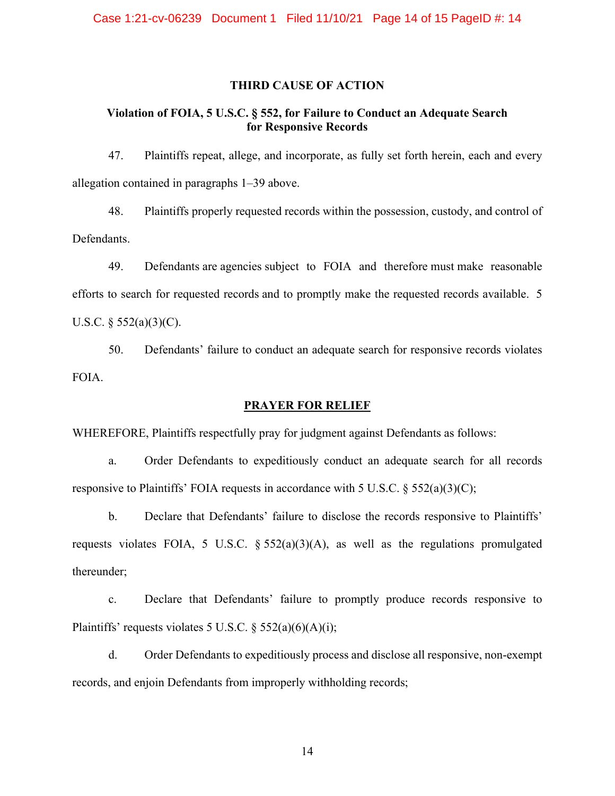#### **THIRD CAUSE OF ACTION**

# **Violation of FOIA, 5 U.S.C. § 552, for Failure to Conduct an Adequate Search for Responsive Records**

47. Plaintiffs repeat, allege, and incorporate, as fully set forth herein, each and every allegation contained in paragraphs 1–39 above.

48. Plaintiffs properly requested records within the possession, custody, and control of Defendants.

49. Defendants are agencies subject to FOIA and therefore must make reasonable efforts to search for requested records and to promptly make the requested records available. 5 U.S.C.  $\S$  552(a)(3)(C).

50. Defendants' failure to conduct an adequate search for responsive records violates FOIA.

## **PRAYER FOR RELIEF**

WHEREFORE, Plaintiffs respectfully pray for judgment against Defendants as follows:

a. Order Defendants to expeditiously conduct an adequate search for all records responsive to Plaintiffs' FOIA requests in accordance with 5 U.S.C.  $\S 552(a)(3)(C)$ ;

b. Declare that Defendants' failure to disclose the records responsive to Plaintiffs' requests violates FOIA, 5 U.S.C.  $\S 552(a)(3)(A)$ , as well as the regulations promulgated thereunder;

c. Declare that Defendants' failure to promptly produce records responsive to Plaintiffs' requests violates 5 U.S.C.  $\S$  552(a)(6)(A)(i);

d. Order Defendants to expeditiously process and disclose all responsive, non-exempt records, and enjoin Defendants from improperly withholding records;